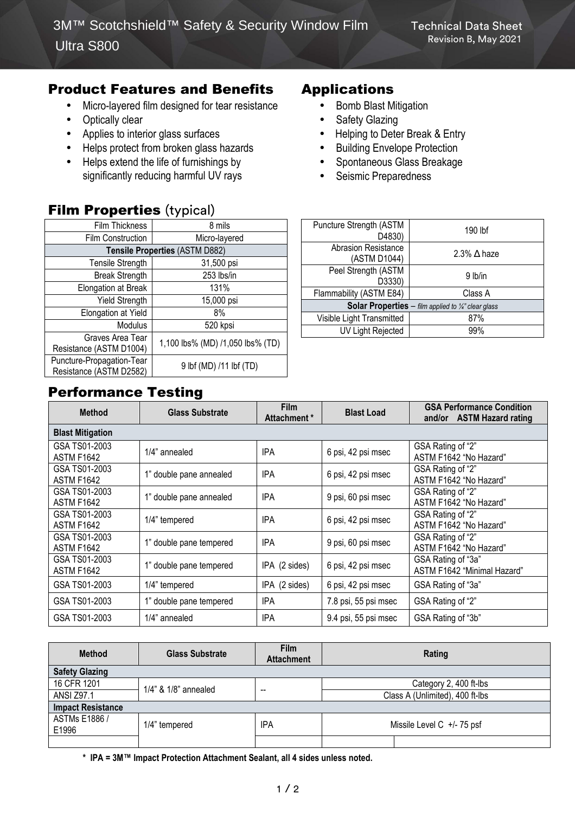### Product Features and Benefits

- Micro-layered film designed for tear resistance
- Optically clear
- Applies to interior glass surfaces
- Helps protect from broken glass hazards
- Helps extend the life of furnishings by significantly reducing harmful UV rays

### **Film Properties (typical)**

| Film Thickness                                       | 8 mils                           |  |  |  |
|------------------------------------------------------|----------------------------------|--|--|--|
| <b>Film Construction</b>                             | Micro-layered                    |  |  |  |
| Tensile Properties (ASTM D882)                       |                                  |  |  |  |
| <b>Tensile Strength</b>                              | 31,500 psi                       |  |  |  |
| <b>Break Strength</b>                                | 253 lbs/in                       |  |  |  |
| Elongation at Break                                  | 131%                             |  |  |  |
| <b>Yield Strength</b>                                | 15,000 psi                       |  |  |  |
| Elongation at Yield                                  | 8%                               |  |  |  |
| Modulus                                              | 520 kpsi                         |  |  |  |
| Graves Area Tear<br>Resistance (ASTM D1004)          | 1,100 lbs% (MD) /1,050 lbs% (TD) |  |  |  |
| Puncture-Propagation-Tear<br>Resistance (ASTM D2582) | 9 lbf (MD) /11 lbf (TD)          |  |  |  |

# Performance Testing

| Puncture Strength (ASTM<br>D4830)                                     | 190 lbf               |  |  |  |
|-----------------------------------------------------------------------|-----------------------|--|--|--|
| <b>Abrasion Resistance</b><br>(ASTM D1044)                            | 2.3% $\triangle$ haze |  |  |  |
| Peel Strength (ASTM<br>D3330)                                         | 9 lb/in               |  |  |  |
| Flammability (ASTM E84)                                               | Class A               |  |  |  |
| <b>Solar Properties</b> – film applied to $\frac{1}{4}$ " clear glass |                       |  |  |  |
| Visible Light Transmitted                                             | 87%                   |  |  |  |
| <b>UV Light Rejected</b>                                              | 99%                   |  |  |  |

Applications

• Safety Glazing

• Bomb Blast Mitigation

Seismic Preparedness

• Helping to Deter Break & Entry • Building Envelope Protection • Spontaneous Glass Breakage

| <b>Method</b>                      | <b>Glass Substrate</b>  | <b>Film</b><br>Attachment * | <b>Blast Load</b>    | <b>GSA Performance Condition</b><br>and/or ASTM Hazard rating |
|------------------------------------|-------------------------|-----------------------------|----------------------|---------------------------------------------------------------|
| <b>Blast Mitigation</b>            |                         |                             |                      |                                                               |
| GSA TS01-2003<br><b>ASTM F1642</b> | 1/4" annealed           | <b>IPA</b>                  | 6 psi, 42 psi msec   | GSA Rating of "2"<br>ASTM F1642 "No Hazard"                   |
| GSA TS01-2003<br><b>ASTM F1642</b> | 1" double pane annealed | <b>IPA</b>                  | 6 psi, 42 psi msec   | GSA Rating of "2"<br>ASTM F1642 "No Hazard"                   |
| GSA TS01-2003<br><b>ASTM F1642</b> | 1" double pane annealed | <b>IPA</b>                  | 9 psi, 60 psi msec   | GSA Rating of "2"<br>ASTM F1642 "No Hazard"                   |
| GSA TS01-2003<br><b>ASTM F1642</b> | 1/4" tempered           | <b>IPA</b>                  | 6 psi, 42 psi msec   | GSA Rating of "2"<br>ASTM F1642 "No Hazard"                   |
| GSA TS01-2003<br><b>ASTM F1642</b> | 1" double pane tempered | <b>IPA</b>                  | 9 psi, 60 psi msec   | GSA Rating of "2"<br>ASTM F1642 "No Hazard"                   |
| GSA TS01-2003<br><b>ASTM F1642</b> | 1" double pane tempered | IPA (2 sides)               | 6 psi, 42 psi msec   | GSA Rating of "3a"<br>ASTM F1642 "Minimal Hazard"             |
| GSA TS01-2003                      | 1/4" tempered           | IPA (2 sides)               | 6 psi, 42 psi msec   | GSA Rating of "3a"                                            |
| GSA TS01-2003                      | 1" double pane tempered | <b>IPA</b>                  | 7.8 psi, 55 psi msec | GSA Rating of "2"                                             |
| GSA TS01-2003                      | 1/4" annealed           | <b>IPA</b>                  | 9.4 psi, 55 psi msec | GSA Rating of "3b"                                            |

| <b>Method</b>            | <b>Glass Substrate</b>     | <b>Film</b><br><b>Attachment</b> |                                 | Rating |  |  |  |
|--------------------------|----------------------------|----------------------------------|---------------------------------|--------|--|--|--|
| <b>Safety Glazing</b>    |                            |                                  |                                 |        |  |  |  |
| 16 CFR 1201              | $1/4$ " & $1/8$ " annealed | $- -$                            | Category 2, 400 ft-lbs          |        |  |  |  |
| <b>ANSI Z97.1</b>        |                            |                                  | Class A (Unlimited), 400 ft-lbs |        |  |  |  |
| <b>Impact Resistance</b> |                            |                                  |                                 |        |  |  |  |
| ASTMs E1886 /<br>E1996   | 1/4" tempered              | IPA                              | Missile Level C $+/-75$ psf     |        |  |  |  |
|                          |                            |                                  |                                 |        |  |  |  |

**\* IPA = 3M™ Impact Protection Attachment Sealant, all 4 sides unless noted.**